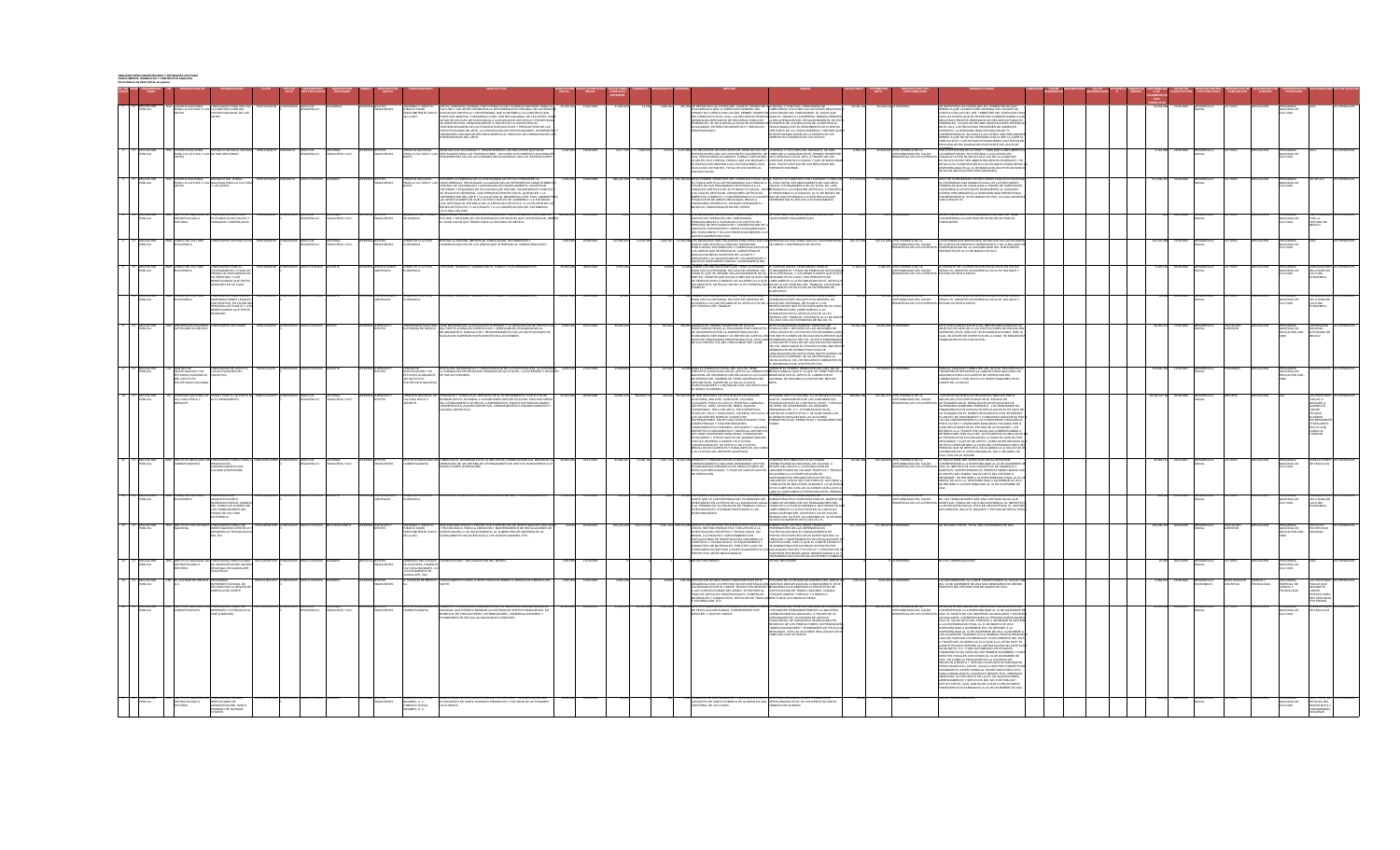| ORGANOS DESCONCENTRADOS Y EN<br>FIDEICOMISOS, MANDATOS Y CONTRI<br>Enero-Marzo de 2013 (cifras en pesos)<br><b>CENTRADOS Y ENTIDADES APOYAD.</b> |                      |                                                |                                                                                                                                                |                                               |                                     |                              |                                                                                                                                   |                                                                                                                                                                                                                                                                                                                                         |                                       |         |  |                                                                                                                                                                                                                                                                                                                                                                                                                                         |                                                                                                                                                                                                                                                                                                                                                                                                                                                                                                                                                       |                                                                                            |                                                                                                                                                                                                                                                                                                                                                                                                                                                                                                                                                                                                                                                                                                                                                                                                                                                                                                               |  |             |                                       |         |                     |                                                                                             |                                                                                                                                                       |
|--------------------------------------------------------------------------------------------------------------------------------------------------|----------------------|------------------------------------------------|------------------------------------------------------------------------------------------------------------------------------------------------|-----------------------------------------------|-------------------------------------|------------------------------|-----------------------------------------------------------------------------------------------------------------------------------|-----------------------------------------------------------------------------------------------------------------------------------------------------------------------------------------------------------------------------------------------------------------------------------------------------------------------------------------|---------------------------------------|---------|--|-----------------------------------------------------------------------------------------------------------------------------------------------------------------------------------------------------------------------------------------------------------------------------------------------------------------------------------------------------------------------------------------------------------------------------------------|-------------------------------------------------------------------------------------------------------------------------------------------------------------------------------------------------------------------------------------------------------------------------------------------------------------------------------------------------------------------------------------------------------------------------------------------------------------------------------------------------------------------------------------------------------|--------------------------------------------------------------------------------------------|---------------------------------------------------------------------------------------------------------------------------------------------------------------------------------------------------------------------------------------------------------------------------------------------------------------------------------------------------------------------------------------------------------------------------------------------------------------------------------------------------------------------------------------------------------------------------------------------------------------------------------------------------------------------------------------------------------------------------------------------------------------------------------------------------------------------------------------------------------------------------------------------------------------|--|-------------|---------------------------------------|---------|---------------------|---------------------------------------------------------------------------------------------|-------------------------------------------------------------------------------------------------------------------------------------------------------|
| No. DE RAMO D                                                                                                                                    |                      |                                                |                                                                                                                                                |                                               |                                     |                              |                                                                                                                                   |                                                                                                                                                                                                                                                                                                                                         |                                       |         |  |                                                                                                                                                                                                                                                                                                                                                                                                                                         |                                                                                                                                                                                                                                                                                                                                                                                                                                                                                                                                                       |                                                                                            |                                                                                                                                                                                                                                                                                                                                                                                                                                                                                                                                                                                                                                                                                                                                                                                                                                                                                                               |  |             |                                       |         |                     |                                                                                             |                                                                                                                                                       |
|                                                                                                                                                  |                      |                                                | CONSEJO NACIONAL PIDE ILLUMISM PARA LA CULTURA Y LAS LA CONSTRUCCIÓN DEL<br>ARTES<br>ARTES CENTRE CENTRE                                       | <b>BANCA DE</b>                               |                                     | <b>UNCIEROS</b>              |                                                                                                                                   | NORDO Y CREATIVO NO EN EL COMERNO A EN EL COMERNO DE CONSTANDO NA EN EL COMERNA DE CONSTANTE DE CONSTANTE EN EL COMERNA DE CONSTANTE DE CONSTANTE DE CONSTANTE DE CONSTANTE DE CONSTANTE DE CONSTANTE DE CONSTANTE DE CONSTAN<br>FESIONALES DEL ARTE<br>CONSEJO NACIONAL MANEJAR CON SEGURIDAD Y TRANSPARENCIA LOS RECURSOS QUE SEAN    | 2,202.0<br>1403/199                   |         |  |                                                                                                                                                                                                                                                                                                                                                                                                                                         | <b><i>INSTRUCTION CONTINUES INTO</i></b><br>SCREW IN A CHARGE CANNOT INSURANCE CAN ARREST MANUSCRIPT IN A SUBSERVER OF A MANUSCRIPT IN A SUBSERVER OF A SUBSERVER OF A MANUSCRIPT IN A SUBSERVER OF A MANUSCRIPT IN A SUBSERVER OF A MANUSCRIPT IN A SUBSERVER OF A MANUS                                                                                                                                                                                                                                                                             |                                                                                            | (2) 医多重用法关节性细胞 医血管性细胞性细胞瘤<br>SE REPORTAN LACI CHUAG COME A CONSECTEUR DE CHARGE DE CHARGE DE CHARGE DE CHARGE DE CHARGE DE CHARGE DE CHARGE DE CHARGE DE CHARGE DE CHARGE DE CHARGE DE CHARGE DE CHARGE DE CHARGE DE CHARGE DE CHARGE DE CHARGE DE CHARGE<br>PÚBLICA 2012 Y LOS ESTADOS FINANCIEROS 2012 ESTAN<br>PROCESO DE DICTAMINACIÓN POR PARTE DEL AUDITOR                                                                                                                                                                                                                                                                                                                                                                                                                                                                                                                                              |  |             |                                       |         |                     | ACIONAL DE<br>ULTURA                                                                        |                                                                                                                                                       |
|                                                                                                                                                  |                      |                                                | CONSEJO NACIONAL MANDATO ANTIGUO COLEI<br>PARA LA CULTURA Y LAS DE SAN IDELFONSO                                                               |                                               | NACIONAL<br>FINANCIERA, S.N.C       | NANCIEROS                    | PARA LA CULTURA Y LAS                                                                                                             | ESTINADOS PARA LAS "EXPOSICIONES", ASI COMO LOS INGRESOS ADICI<br>ROVENIENTES DE LAS ACTIVIDADES RELACIONADAS CON LAS "EXPOSIC                                                                                                                                                                                                          |                                       |         |  | <b>LATI ZERLO RECURSOS DE APLICARCHEM MONTAR DE LAS LA MEDON Y LOS FREES DE MANDATES DE FRANCIA (EN 1992) (CON CARROLLES DE LA CONTROLLES DE LA CONTROLLES DE LA CONTROLLES DE LA CONTROLLES DE LA CONTROLLES DE LA CONTROLLES </b>                                                                                                                                                                                                     |                                                                                                                                                                                                                                                                                                                                                                                                                                                                                                                                                       | 32,426,281 (DTS) FÖRMULA DE LA<br>DISPONIBILIDAD DEL SALDO<br>TRIMESTRAL DE LOS CRITERIO   | PROCESSO DE DICTAMBACIÓN DE LA SIECE Y PARA DER CAUSITOR.<br>CON CAPITAL DE LA SIECE Y PARA DAR CAUSITALISTA.<br>CON CAPITAL DE LA SIECE Y PARA DAR CAUSITALISTA.<br>CONGULTA POR SA 45.0 (21.00 A LAS DE LA UNAN POR SA 201.00 A LA SI                                                                                                                                                                                                                                                                                                                                                                                                                                                                                                                                                                                                                                                                       |  |             |                                       |         |                     | CIONAL DE<br>LTURA                                                                          |                                                                                                                                                       |
|                                                                                                                                                  | EDUCACIÓN            | .                                              | CONSEJO NACIONAL MANDATO DEL FONDO<br>PARA LA CULTURA Y LAS NACIONAL PARA LA CULTURI<br>ARTES<br>EDECOMISO ARCHIVOS                            |                                               |                                     | <b>NYUTUS</b><br>FINANCIEROS |                                                                                                                                   |                                                                                                                                                                                                                                                                                                                                         | 16/10/1995                            |         |  | SHEN DL PRAINT THAN EFTER GEL JURICO FROM APAIL CONFINITION AND CONTAINED THAT THE SHENGARA CONTAINS THE SHENGARA CHARACTER CAR AND AN INTERNATIONAL CONTAINING THE SHENGARA CHARACTER CAR AND ANNOUNCED CONTAINING THE SHENG<br>LOS RECURSOS SE DESTINAN PRINCIPALMENTE A LOSSE CONTINÚA CON LA CATALOGACIÓN DE LAS                                                                                                                    |                                                                                                                                                                                                                                                                                                                                                                                                                                                                                                                                                       |                                                                                            | SOLO SE CONSIDERAN LOS RECURSOS PÚBLICOS FEDERA<br>EL PATRIMONIO DEL MARIANTO NICLUYE LOS RECURSOS<br>FEDERALES QUE SE CANALIZAN A TRAVÉS DE SUBFONDO<br>CORFONIE A LOS ESTADOS PINANCIENOS AL 31/02/013<br>CORFONIE A AS 31 DE MARZO DE 2<br>EN EL DOES (DUESTO DOOGDAMADO DEL INAH SE TIENE                                                                                                                                                                                                                                                                                                                                                                                                                                                                                                                                                                                                                 |  |             | 01/03/1988<br>1610/1985               |         |                     | PROGRAMA<br>NACIONAL DE<br>CULTURA                                                          |                                                                                                                                                       |
|                                                                                                                                                  | PÚBLICA              | ANTROPOLOGÍA E<br>ne cui tup.                  | PLUTARCO ELIAS CALLES Y<br>                                                                                                                    | <b>TOEICOMS</b> BANCA DE                      | <b>NACIONAL</b><br>NANCIERA, S.N.C. | APUTUS<br>FINANCIEROS        | ARONDE 30                                                                                                                         | ESTUDIO Y DIFUSION DE LOS MATERIALES HISTORICOS QUE LOS INTEGRAN, D<br>AL GRAN VALOR QUE TIENEN PARA LA HISTORIA DE MEXICO.                                                                                                                                                                                                             |                                       |         |  | <b>OLOS RECURSOS SE DESTRAN PRINCIPAIRMENTE A LO<br/>CASTOS DE OPERACIÓN DEL FIDEICOMISO,<br/>PRINCIPALMENTE A SUFRAGAR LOS COSTOS DEL<br/>PROCESO DE RESTAURAGÓN Y CONSERVACIÓN DE<br/>ARCHIVOS, EXPEDIENTES Y SERIES DOCUMENTALES<br/>DEL FIDEICOM</b>                                                                                                                                                                                | COLECCIONES DOCUMENTALES.                                                                                                                                                                                                                                                                                                                                                                                                                                                                                                                             | ATPAINING                                                                                  | CONSIDERADA LA CANTIDAD DE \$1500,000.00 PARA EL                                                                                                                                                                                                                                                                                                                                                                                                                                                                                                                                                                                                                                                                                                                                                                                                                                                              |  |             |                                       |         |                     | ACIONAL DE<br>IULTURA                                                                       | S DE LA<br>HISTORIA DE                                                                                                                                |
|                                                                                                                                                  | EDUCACIÓN<br>PÚBLICA |                                                |                                                                                                                                                | <b>DESCOMES BANCA DE</b>                      | MCIONAL<br>FINANCIERA, S.N.C        | FINANCIEROS                  | INDO DE CULTURA<br>IONÓMICA                                                                                                       | .<br>APOYAR LA EDICIÓN, IMPRESIÓN, PUBLICACIÓN, DISTRIBUCIÓN Y<br>COMERCIALIZACIÓN DE LOS LIBROS QUE INTERESAN AL SUBSISTEI<br>N AL SUBSISTEMA DGETI<br>ODE, INVERTA Y ADMINISTRE EL FONDO Y SUS RENDIMENTOS                                                                                                                            | 25/06/1992                            |         |  | $\begin{tabular}{l c c c} \hline & \multicolumn{2}{c}{\textbf{25.5}} \\ \hline \multicolumn{2}{c}{\textbf{26.5}} & \multicolumn{2}{c}{\textbf{26.5}} & \multicolumn{2}{c}{\textbf{26.5}} & \multicolumn{2}{c}{\textbf{26.5}} & \multicolumn{2}{c}{\textbf{26.5}} & \multicolumn{2}{c}{\textbf{26.5}} & \multicolumn{2}{c}{\textbf{26.5}} & \multicolumn{2}{c}{\textbf{26.5}} & \multicolumn{2}{c}{\textbf{26.5}} & \multicolumn{2}{c}{$ | .<br>IMPRESION DE EDICIONES NUEVAS, REMPRESIO<br>DE LIBROS Y MATERIALES DE APOYO.                                                                                                                                                                                                                                                                                                                                                                                                                                                                     |                                                                                            | (DTS) FÓRMALA DE LA <b>14 DE LA DE CONSUCIÓN REPORTADA SE OBTUVO DE LOS EST.</b><br>DISPONIBILIDAD DEL SALDO - DE CUENTA DE BANCOS E PAVERSIONES Y DE LA BALAM<br>TRIMESTRAL DE LOS CRITERIOS COMPROBACION DE LA CONTABILIDAD DEL FIDEICO                                                                                                                                                                                                                                                                                                                                                                                                                                                                                                                                                                                                                                                                     |  |             | 122/1993                              |         |                     | <b>AMA</b><br>ACIONAL DE<br>TURA                                                            |                                                                                                                                                       |
|                                                                                                                                                  |                      |                                                | RGAMENTO Y PAGO DE<br>JAS DE ANTIGÚEDAD DE<br>VERSONAL Y LOS<br>EFICIARIOS QUE ESTOS<br>IGNEN EN SU CASO                                       |                                               |                                     |                              | FONDO DE CULTURA<br>ECONÓMICA                                                                                                     |                                                                                                                                                                                                                                                                                                                                         | 46,980,840<br>2003/199                |         |  | <b>EXAMPLE SCHOOLS PARK AT CHAPMENT OF A CONTRACTOR IN THE CONSULTANT AND INTERFERING TO A CONSULTANT OF A CONSULTANT AND A CONSULTANT AND A CONSULTANT OF A CONSULTANT OF A CONSULTANT AND INTERFERING TO A CONSULTANT OF A CO</b>                                                                                                                                                                                                     |                                                                                                                                                                                                                                                                                                                                                                                                                                                                                                                                                       |                                                                                            |                                                                                                                                                                                                                                                                                                                                                                                                                                                                                                                                                                                                                                                                                                                                                                                                                                                                                                               |  | 2,225       | 2803/199                              |         |                     | $\begin{array}{r} \text{.JGRAMA} \\ \text{NACIONAL DE} \\ \hline \text{ULTURA} \end{array}$ | TRABALADORI<br>DEL FONDO D<br>CULTURA<br>ECONOMICA                                                                                                    |
|                                                                                                                                                  | pública              |                                                | MISO PARA CITER<br><b>JONES LE</b><br>DESPIDO, EN FAVOR DE<br><b>EDCURPS OUT EST</b>                                                           |                                               |                                     | LABORALES                    | <b>WOODECULTURA</b><br>VÓMEA                                                                                                      | TODIE INVERTA Y ADMINISTRE EL EDNOO Y SUS RENDAMENTO                                                                                                                                                                                                                                                                                    |                                       |         |  |                                                                                                                                                                                                                                                                                                                                                                                                                                         | CUBRIR LAS OBLIGACIONES QUE TIENE LA ENTIDAD EL CONTAR CON EL FIDEICOMISO PARA CUBRIR<br>CUBRISK LAN CHRAMMUNING LUIGI EINE LA ENVIDING DE DE LORI NATAK CON ELE FUEBILLORIS D'ARRA CUBRISTO, EN<br>PARA CON SU PERSONAL EN CASO DE DESPEIO DE DINORMAZACIONES LEGALES POR DESPIDO, EN<br>LEY FEDERAL DEL TRABAJO.<br>LEY FEDERA<br>BENEFICIARIOS QUE ESTOS DESIGNEN EN SU O<br>NOS PERMITIÓ DAR CUMPLIMENTO ALO<br>ESTABLECIDO EN EL ARTICULO SO DE LA LEY<br>FEDERAL DEL TRABAJO, CONTANDO AL 31 DE N<br>DEL 2013 CON UN PATRIMONIO DE \$92,191.79. |                                                                                            | ON THE REAL SEA COMPORTED A MORTALIÓN INCLUSION IN THE CONSTRUCTS OF A MARKET COMPORTED COMPANY INCLUYE BALANCE<br>CHEPCHIBLIDAD DEL SALDO PESOS, EL SOPORTEDOCUMENTAL INCLUYE: BALANCE<br>TRIMESTRAL DE LOS CRITERIOS (ESTADO DE RE                                                                                                                                                                                                                                                                                                                                                                                                                                                                                                                                                                                                                                                                          |  |             |                                       |         |                     | <b>DAMI</b><br>CIONAL DE<br>LTURA                                                           | DEL FONDO DE<br>CULTURA<br>ECONOMICA                                                                                                                  |
|                                                                                                                                                  | 8 11 EDUCACIÓN       |                                                | <b>DEICOMISO SERVINAM</b>                                                                                                                      | TODOSANOSE SEDESCOARS BANCA DRIVADA SERENI    |                                     | FEDERAL SUBSIDIOS Y          | <b>CMA DE MÉXICI</b>                                                                                                              | PARA MODERNIZAR LA EDUCACIÓN SUPERIOR Y LA REALIZACIÓN DE PROYECT<br>MIL TINSTITUCIONALES ESPECÍFICOS Y VERIFICABLES, INCLAMNADOS AL<br>MILURAMIENTO, INNOVACIÓN Y REORDENMIENTO DE LAS INSTITUCIONES DE<br>EDUCACIÓN SUPERIOR PARTICIP                                                                                                 | 1012/1993<br>40,405.097<br>6500.000   |         |  | 433.2020 DESIGN TREATION CONTROL AND CONTROL AND CONTROL AND CONTROL AND CONTROL AND CONTROL AND CONTROL AND CONTROL AND CONTROL AND CONTROL AND CONTROL AND CONTROL AND CONTROL AND CONTROL AND CONTROL AND CONTROL AND CONTR                                                                                                                                                                                                          | GENERACIÓN DE INFRAESTRUCTURA DE<br>COMUNICACIÓN DE DATOS PARA INSTITUC<br>COMUNICACION DE DATOS PARA INSTITUCIONES<br>DDUCACIÓN AL FID. DE RECURSOS SOBRANTES<br>DEVOLUCIÓN AL FID. DE RECURSOS SOBRANTES<br>EL DESARROLLO DE LOS PROYECTOS.                                                                                                                                                                                                                                                                                                         | AS 403 450 45403 450 PATRIMONIO                                                            | ESTE FIDEOCMISO ES DE VITAL IMPORTANCIA PORQUE SU<br>OBJETIVO ES APOYAR A LAS INSTITUCIONES DE EDUCADÓN<br>SUPERIOR, EN EL ÁREA DE TELECOMUNICACIONES, POR LO<br>CIUALUNGO EN SU EJECUCIÓN.<br>TRABAJNEO EN SU EJECUCIÓN.                                                                                                                                                                                                                                                                                                                                                                                                                                                                                                                                                                                                                                                                                     |  |             | 38,745,471 27/01/1994 DESARROLLO      |         |                     | PROGRAMA<br>NACIONAL DE<br>EDUCACIÓN 2001                                                   | UNIVERSIDAD<br>NACIONAL<br>AUTONOMA DE<br>MEXICO<br><b>COMMANDS</b>                                                                                   |
|                                                                                                                                                  | educación<br>Pública |                                                | CENTRO DE PERSONISO DE APOYO A INVESTIGACIÓN Y DE LAS ACTIVIDADES DEL<br>ESTUDIDS AVANZADOS CINVESTAV<br>DEL INSTITUTO<br>POLITÈCNICO NACIONAL | 100011L4J278 IFIDEICOMS BANCA PRIVADA BANORTE |                                     |                              | CENTRO DE<br>INVESTIGACIÓN Y DE<br>ESTUDIOS AVANZADOS<br>DEL INSTITUTO<br>POLITÉCNICO NAGIONAL                                    | POYO DEL DESARROLLO Y CONSOLIDACIÓN DE LA INVESTIGACIÓN, LA DOCENCI <sup>R</sup> , 9,864,619 = 27,67/1994<br>I FORMACIÓN DE RECURSOS HUMANOS DE ALTO NIVEL, LA EXTENSIÓN Y DIFUSIÓN<br>E SUS ACTIVIDADES.                                                                                                                               | 24,469.057                            |         |  | TROPIERS IN EXERCIST PAPARTICAL CONTRACTOR (CONTROL CONTROL CONTRACTOR)<br>INSTRUCTION CONTRACTOR CONTRACTOR CONTRACTOR CONTRACTOR CONTRACTOR (CONTRACTOR)<br>INCOLOR CONTRACTOR (AND INSTRUCTION AND CONTRACTOR)<br>CONTRACTOR CONTRA                                                                                                                                                                                                  | 24.708.318                                                                                                                                                                                                                                                                                                                                                                                                                                                                                                                                            | 24.708.317 PATRIMONIO                                                                      | PARA EL SEGUNDO TRIMISTRE DEL 2013 SE TIEN PREVIST<br>TRASMEROR RECURSOS AL LABORATORIO NACIONAL DE<br>GENORICA PARA LOS GASTOS DE OPERACION DEL<br>LABORATORIO Y DAR APOYO A S INVESTIGADORES EN EL<br>CAMPO DE LA SALUD.                                                                                                                                                                                                                                                                                                                                                                                                                                                                                                                                                                                                                                                                                    |  | 106 855 948 | 17/04/1901<br>DESARROLLO              |         |                     | ROGRAMA<br>IACIONAL DE<br>ACIÓN 21                                                          | MARKTAN IDN 17N ODERACIÓN                                                                                                                             |
|                                                                                                                                                  |                      | URA FÍSICA <sup>.</sup><br>XRTE                | 0494 EL DEDO                                                                                                                                   |                                               | DNAL<br>KOERA, S.N.C                |                              | CULTURA FÍSICA Y<br>DEPORTE                                                                                                       | ON NACIONAL DE PROMUEVE Y FOMENTA EL DEPORTE DE ALTO RENDMENTO, CON EL FRIDE<br>ERA FÍSICA Y ARRIBINA POVO NETIDEAL A LOS MEJORES DEPORTETAS DEL PAUS POR MEDIDI<br>COMPETENCIAS, EDURO DE DECAS, CAMPAMENTOS, EDURO MILTIDISCIPLINA                                                                                                    |                                       |         |  | THE REPORT FOR THE REPORT OF A REPORT OF THE TABLE THAT THE RESULT.<br>AN LUMO LUMOIKINS BANCARAS, MUNDIANOUS<br>CON UN UNIVERSO A MARZO 176 ATLETAS<br>CON UN UNIVERSO A MARZO 176 ATLETAS<br>CONVENCIONALES, EE APOYO A 180 ATLETAS<br>A 15 ATLETAS DEL DEPORTE ADAPTADO.<br>A 15 ATLETAS DEL DEPORTE ADAPTADO.                                                                                                                       |                                                                                                                                                                                                                                                                                                                                                                                                                                                                                                                                                       |                                                                                            | (FTE) FORMAL A DE LA AUSTRA MONTAGONIES DE REGURADO PUBLICOS POR ESTE UNIDENSE DE REGURADO EN EL CONSTANTE DE REGURADO EN EL CONSTANTE DE CONSTANTE DE CONSTANTE DE CONSTANTE DE CONSTANTE DE CONSTANTE DE CONSTANTE DE CONST<br>PUR 3 112500 T LUMBOURES BRIDGERS PRINCIPALS LOS<br>EXISTENDE ALA TESOFE POR \$1,091,202 CORRESPONDEN<br>ENTEROS A LA TESOFE POR \$1,091,202 CORRESPONDEN<br>RETENCIONES POR IVA E ISR -LOS EGRESOS ACUMULADI<br>RETENCIONES FOR IVA E ISP -LOS EGRESSOS ACUMULADOS<br>EL PERIODO POR 5 22,286,940 ES LA SUBA DE GASTOS POR<br>SE DEVOLO POR 5 22,286,940 ES LA SUBA DE GASTOS POR<br>SE ESTA ODRRIGIENDO LA CIFRA DEL PATRIMONO NETO DE<br>PERIODO QUE SE                                                                                                                                                                                                                   |  |             |                                       |         |                     |                                                                                             | LAS PENGANY<br>FISICAS O<br>MORALES A<br>GUERES TECNICO<br>FICNICO<br>ACUERDE<br><b>CORRESAMENT</b><br>OTORGARLES<br>APOYO CON<br>CARGO AL<br>FODEPAR |
|                                                                                                                                                  | 11 11 EDUCACIÓN      | LITO MEXICANO DE                               | DESCOMISO EDADO PAR<br>IMATOGRÁFICA DE<br>DAD (FOPROGINE)                                                                                      | <b>IFIDEICOMS BANCA DE</b>                    | NACIONAL<br>FINANCIERA, S.N.C       | CIEROS                       |                                                                                                                                   | INSTITUTO MEXICANO DE FOMENTAR EL DESARROLLO DE LA INDUSTRIA CINEMATOGRAFICA, MEDIANTE LA 25,000,000<br>CINEMATOGRAFÍA - OPERACION DE UN SESTEMA DE OTORGAMIENTO DE APOYOS FRANCIEROS A LO<br>PRODUCTORES (PODENCTORES (FOPROCINE)<br><b>CONTRACTORS IN BATHERING</b>                                                                   | 34,558,167<br>27 048 248<br>101211003 | 74092.5 |  | 16,601,543 FOMENTO Y PROMOCIÓN DE LA INDUSTRIA<br>CONDITIONS IN A MONTH CONTRACT CONTRACT CONTRACT AND CONDUCT AND CONDUCT AND CONDUCT AND CONDUCT AND CONDUCT A<br>TRANSFERING IN A MORE CONTRACT CONTRACT AND A MONETARY TED AND CONDUCT AND CONDUCT AND CONDUCT AND CONDUCT AN<br>T                                                                                                                                                  | 23,400,488<br>CONJUNTOS CON EL SECTOR PUBLICO, ASI COMO<br>53 HA CUMPLIDO CON LAS ACCIONES QUI LLEVIO<br>53 HA CUMPLIDO CON LAS ACCIONES QUI LLEVIO<br>CABO EL FIDBICOMISO (FOPROCINE) EN EL PERÍO                                                                                                                                                                                                                                                                                                                                                    | 434,209,928 (DTS) FÖRMULA DE LA<br>DISPONIBILIDAD DEL SALDO<br>TRIMESTRAL DE LOS CRITERIOS | EL SALDO FINAL DEL EJERCICIO FISCAL ANTERIOR:<br>CORRESPONDE A LA FASISTATIU (PARTIA PARTICULAR)<br>EL SALDO FINAL DEL EJEMPLOJ FINANCA ANTERIOR (FINANCA)<br>2012: EL IMPORTE DE LOS CONCEPTOS DE INGRESOS Y<br>EGRESOS: CORRESPONDEN AL PERÍODO ENERO-MARZO 20<br><b>EURISIONS CURRENT MONTH AL PERIODO A METODO A METODO A METODO A METODO A METODO A METODO A METODO A METODO A METODO A METODO A METODO A METODO A METODO A METODO A METODO A METODO A METODO A METODO A METODO A METODO A METO</b>                                                                                                                                                                                                                                                                                                                                                                                                      |  | 34,558,567  | 02/12/1997<br>DESARROLLO<br>1012/1002 |         |                     | CIONAL DE<br>LTURA                                                                          | PRODUCTORES EN OPERACIÓN                                                                                                                              |
|                                                                                                                                                  |                      |                                                | FIDEICOMISO DE<br>ADMINISTRACIÓN E<br>INVERSIÓN PARA EL MAND<br>DEL FONDO DE AUCIRIO<br>FONDO DE CULTURA<br>FONDO DE CULTURA<br>ECONÓMICA      |                                               |                                     | LPRESTACIONES<br>LABORALES   | FONDO DE CULTURA<br>ECONÓMICA                                                                                                     |                                                                                                                                                                                                                                                                                                                                         |                                       |         |  | <b>STREAM AND A CONTROL CONSUMER CONSUMER CONSUMER AND CONSUMER AND CONSUMER AND CONSUMER AND CONSUMER AND CONSUMER AND CONSUMER AND CONSUMER AND CONSUMER AND CONSUMER AND CONSUMER AND CONSUMER AND CONSUMER AND CONSUMER AND </b>                                                                                                                                                                                                    | 3E 2013 UN IMPORTE DE \$ 2,624,251.75<br>OYO A LOS PROYECTOS ESPECÍFICOS VINCULADOS ADMINISTRAR LOS RECURSOS FINANCIEROS                                                                                                                                                                                                                                                                                                                                                                                                                              |                                                                                            | 2,694,254,197151 PORMAL A DE LA CONSTITUITO POR LAS APORTACION CESA CONSTITUITO POR LAS APORTACION CHE ANNI DU<br>2012 DESPONSIBILIBAD DE LOS CHE DE SALO DE LOS TRANSANCO DE CHE ANNI DUAL CHE<br>37 DE LOS CARTERIOS (APORTA EL FO<br>I INTEGRA POR EL TOTAL DEL I                                                                                                                                                                                                                                                                                                                                                                                                                                                                                                                                                                                                                                          |  |             |                                       |         |                     | DGRAMA<br>CIONAL DE<br>LTURA                                                                | TRABAJADORE)<br>DEL FONDO DE<br>CULTURA<br>ECONOMICA                                                                                                  |
|                                                                                                                                                  |                      | CIONAL                                         | ISTIGACIÓN CIENTÍFICA<br>ARROLLO TECNOLÓGIO<br><b>ELIPN</b>                                                                                    |                                               |                                     |                              |                                                                                                                                   | STINAR RECURSOS A PROYECTOS ESPECÍFICOS DE INVES<br>FORMATION CONSULTED AND A SERVE AND MANUFACTURE OF INSTALACIONS OF PERSON TRANSPORTED A SERVER OF INSTALACIONS O<br>PORICONTENTE ÚNICO NO ENTERVIDOR, A SU EQUIPABRITO, AL SUBMISTRO OF INSTALACIONES O<br>DE LA APC CONSULTED OTORG<br><b>INSERVACIÓN Y RESTAURACIÓN DEL MUSEC</b> | 1,000.0                               |         |  | HAY RECURSOS                                                                                                                                                                                                                                                                                                                                                                                                                            | HAY RECURSOS                                                                                                                                                                                                                                                                                                                                                                                                                                                                                                                                          | RIMONIC                                                                                    | AY OBSERVACIONE                                                                                                                                                                                                                                                                                                                                                                                                                                                                                                                                                                                                                                                                                                                                                                                                                                                                                               |  |             |                                       |         |                     | CIONAL DE<br>IUCACIÓN 2001-                                                                 | POLITECNICO<br>NACIONAL                                                                                                                               |
|                                                                                                                                                  | EDUCACIO             |                                                | FIDEICOMISO IRREVOCABLE<br>TECAS<br>TECAS                                                                                                      |                                               |                                     | a<br>Trace                   | GOBIERNO DEL ESTADO<br>DE ZACATEAS, FOMENTI<br>DE ZACATEAS, FOMENT<br>CLE.TURAL BANAMEX, A<br>, AYUNTAMENTO DE<br>GUADALUPE, ZAC. |                                                                                                                                                                                                                                                                                                                                         | 17/12/20                              |         |  |                                                                                                                                                                                                                                                                                                                                                                                                                                         |                                                                                                                                                                                                                                                                                                                                                                                                                                                                                                                                                       |                                                                                            |                                                                                                                                                                                                                                                                                                                                                                                                                                                                                                                                                                                                                                                                                                                                                                                                                                                                                                               |  |             | 3011/200                              |         |                     | <b>TURA</b>                                                                                 |                                                                                                                                                       |
|                                                                                                                                                  |                      |                                                | <b>ROGRAMA</b><br>RAMA<br>INSTITUCIONAL DE<br>DIOS DE LA REGIÓN<br>ICA DEL NORTE                                                               |                                               |                                     | <b>INANCIEROS</b>            | corpts be report                                                                                                                  |                                                                                                                                                                                                                                                                                                                                         | 1,000.0                               |         |  | WINE ENGANGERMAN OTOROGANINE & DRODG KTT                                                                                                                                                                                                                                                                                                                                                                                                | <b>219 API AGOS DE RECURSOS FUELCOM FOS EN EL "ESTUDIO DE LA REGION DE AMBIECA DEL NORTE DE VIDEO DE LA CONSERVACIÓN DE LA CONSERVACIÓN DE LA CONSERVACIÓN DE LA CONSERVACIÓN DE LA CONSERVACIÓN DE LA CONSERVACIÓN DE LA CONSE</b>                                                                                                                                                                                                                                                                                                                   | 2.925.483                                                                                  | LA DISPONIBILIDAD AL CORTE CORRESPONDE AL SALDO T<br>DEL 31 DE DICIEMBRE DE 2012 MAS RENDBAIENTOS MENO<br>DGRESOS DEL PERIODO ENERO MARZO DE 2013.                                                                                                                                                                                                                                                                                                                                                                                                                                                                                                                                                                                                                                                                                                                                                            |  | 6.008.0     | 12/04/1994<br>COMO                    | NTÍFICA | encia y<br>Cnología | PROGRAMA<br>ESPECIAL DE<br>CIENCIA Y<br>TECNOLOGÍA                                          | FISICAS QUE<br>DESIGNE EL<br>COMITE                                                                                                                   |
|                                                                                                                                                  | <b>BUULAS</b>        |                                                | NVERSIÓN Y ESTÍMULOS AL<br>(FIDECNE)                                                                                                           | BANCA DE<br>DESARROLLO                        | NACIONAL<br>FINANCIERA, S.N.C       | <b>FINANCIEROS</b>           |                                                                                                                                   | -<br>MACIONAL QUE PERMITA BRNDAR UN SISTEMA DE APOYOS FINANCIEROS<br>BRNEFICIO DE PRODUCTORES, DESTRIBUDORES, COMERCIALIZADORES<br>EXHIBIORES DE PELICULAS NACIONALES (FIDEOREL                                                                                                                                                         |                                       |         |  | COMPROMISOS POR<br><b>RCER, Y GASTOS VARIOS</b>                                                                                                                                                                                                                                                                                                                                                                                         | EL FIDEICOMSO TIENE LA FINALIDAD DE FOI<br>Y PROMOVER PERMANENTEMENTE LA INDUI<br>CINEMATOGRÁFICA NACIONAL, A TRAVÉS DE LA<br>INTEGRACION DE UN SISTEMA DE APOYOS<br>DENEFICIO DE LOS PRODUCTORES, DISTRIBUIDO<br>CMENEFICIO DE LOS PRODUCTORES, DISTRIBUIDO<br>CMENCANAS, CON LAS ACCIONES REALIZADAS SE<br>CUMPLIDO CON SU MISIÓN.                                                                                                                                                                                                                  | GIOTS) FORMULA DE LA<br>DISPONIBILIDAD DEL SALDO<br><b>ESTRAL DE LOS CRITE</b>             | EL MPORTE DEL SALDO DEL EJERCICIO FISCAL ANTERIOR:<br>CORRESPONDE A LA DISPONIBILIDAD AL 31 DE DICIEMBRE D<br>5 JOIL EL NONTO DE LOS INGRESOS ACUNULADOS Y EGRES<br>ACUNULADOS: CORRESPONDEN AL PERÍODO ENERO MARZE<br>ACUAL ACOS CONSESPONDENTAL PERÍODS ARENTES (2011). A 2410 NATIONAL AND SAN CONSESPONDENT REPORT OF THE STATE CONSESPONDENT OF THE STATE CONSESPONDENT OF THE STATE CONSESPONDENT OF THE STATE CONSESPONDENT OF THE STATE CONS<br>FINANCIEROS DEL PERIODO SEPTIEMBRE-DICIEMBRE Y I<br>EFECTOS FISCALES CON CIFRAS AL 31 DE DICIEMBRE DI<br>2012, ASÍ COMO LA EROGACIÓN DE LA CANTEND DE<br>\$36,819.56 (TREINTA Y SEIS ME, OCHOCIENTOS DECINUE)<br><b>536, NG 26 (THAIRIN + 7 SAID MA LACINDO POR CONCEPTOR AND STATEMENTS IN A NECKLIDO POR CONCEPTOR AND A CONTRACT AND A CONTRACT AND A CONTRACT AND A CONTRACT AND A CONTRACT AND A CONTRACT AND A CONTRACT AND A CONTRACT AND </b> |  |             |                                       |         |                     | NACIONAL DE                                                                                 |                                                                                                                                                       |
|                                                                                                                                                  |                      | <b>ITO NACIONAL DE</b><br>ROPOLOGÍA E<br>TORIA | <b>IRREVOCABLE DE</b><br>USTRACIÓN SANTO<br>ISO DE GUZMÁN,                                                                                     |                                               |                                     | <b>EROS</b>                  | TO CLE TIRA<br><b>DANAIEX, A.C.,<br/>BANAIEX, A.C.,<br/>BANAIEX, A.C.</b>                                                         | WINISTRAR LOS RECURSOS PARA LA PROTECCIÓN Y CONSERVACIÓN DEL:<br>CONVENTO DE SANTO DOMINGO PROMOCIÓN Y DIFUSIÓN DE ACTIVIDADES<br>'LTURALES                                                                                                                                                                                             |                                       |         |  | STRABAJOS DE RESTAURACIÓN Y ADECUACIÓN DEL EXÍSE ESTAN LLEVANDO A CABO TRABAJOS DE<br>CONVENTO DE SANTO DOMINIGO DE GUZMÁN EN SAN FRESTAR LOR LA MINICION DE SANTO<br>CRISTÓBAL DE LAS CASAS.                                                                                                                                                                                                                                           |                                                                                                                                                                                                                                                                                                                                                                                                                                                                                                                                                       |                                                                                            |                                                                                                                                                                                                                                                                                                                                                                                                                                                                                                                                                                                                                                                                                                                                                                                                                                                                                                               |  |             |                                       |         |                     | CIONAL DE<br>LTURA                                                                          | ANI, CTRO, DE <sup>1</sup> EN OPERACIÓN<br>EXTILES DEL                                                                                                |